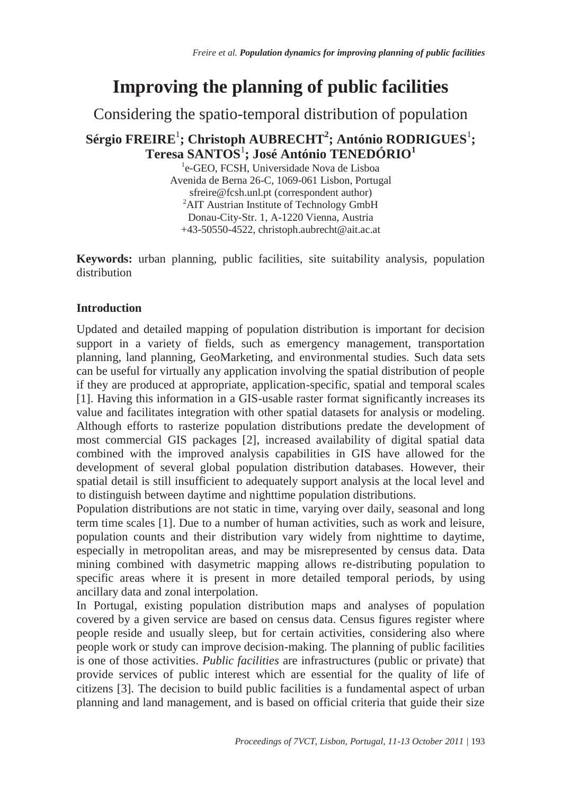# **Improving the planning of public facilities**

Considering the spatio-temporal distribution of population

## **Sérgio FREIRE**<sup>1</sup> **; Christoph AUBRECHT<sup>2</sup> ; António RODRIGUES**<sup>1</sup> **; Teresa SANTOS**<sup>1</sup> **; José António TENEDÓRIO<sup>1</sup>**

<sup>1</sup>e-GEO, FCSH, Universidade Nova de Lisboa Avenida de Berna 26-C, 1069-061 Lisbon, Portugal sfreire@fcsh.unl.pt (correspondent author) <sup>2</sup>AIT Austrian Institute of Technology GmbH Donau-City-Str. 1, A-1220 Vienna, Austria +43-50550-4522, christoph.aubrecht@ait.ac.at

**Keywords:** urban planning, public facilities, site suitability analysis, population distribution

## **Introduction**

Updated and detailed mapping of population distribution is important for decision support in a variety of fields, such as emergency management, transportation planning, land planning, GeoMarketing, and environmental studies. Such data sets can be useful for virtually any application involving the spatial distribution of people if they are produced at appropriate, application-specific, spatial and temporal scales [1]. Having this information in a GIS-usable raster format significantly increases its value and facilitates integration with other spatial datasets for analysis or modeling. Although efforts to rasterize population distributions predate the development of most commercial GIS packages [2], increased availability of digital spatial data combined with the improved analysis capabilities in GIS have allowed for the development of several global population distribution databases. However, their spatial detail is still insufficient to adequately support analysis at the local level and to distinguish between daytime and nighttime population distributions.

Population distributions are not static in time, varying over daily, seasonal and long term time scales [1]. Due to a number of human activities, such as work and leisure, population counts and their distribution vary widely from nighttime to daytime, especially in metropolitan areas, and may be misrepresented by census data. Data mining combined with dasymetric mapping allows re-distributing population to specific areas where it is present in more detailed temporal periods, by using ancillary data and zonal interpolation.

In Portugal, existing population distribution maps and analyses of population covered by a given service are based on census data. Census figures register where people reside and usually sleep, but for certain activities, considering also where people work or study can improve decision-making. The planning of public facilities is one of those activities. *Public facilities* are infrastructures (public or private) that provide services of public interest which are essential for the quality of life of citizens [3]. The decision to build public facilities is a fundamental aspect of urban planning and land management, and is based on official criteria that guide their size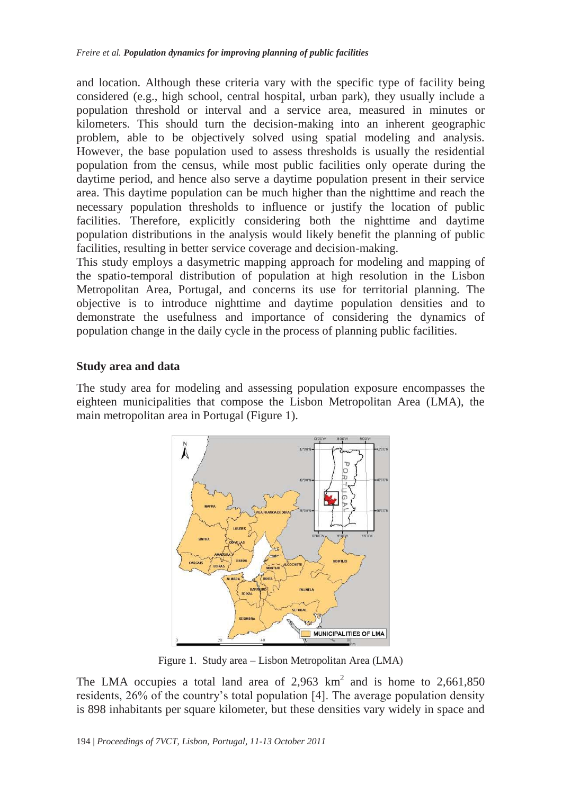and location. Although these criteria vary with the specific type of facility being considered (e.g., high school, central hospital, urban park), they usually include a population threshold or interval and a service area, measured in minutes or kilometers. This should turn the decision-making into an inherent geographic problem, able to be objectively solved using spatial modeling and analysis. However, the base population used to assess thresholds is usually the residential population from the census, while most public facilities only operate during the daytime period, and hence also serve a daytime population present in their service area. This daytime population can be much higher than the nighttime and reach the necessary population thresholds to influence or justify the location of public facilities. Therefore, explicitly considering both the nighttime and daytime population distributions in the analysis would likely benefit the planning of public facilities, resulting in better service coverage and decision-making.

This study employs a dasymetric mapping approach for modeling and mapping of the spatio-temporal distribution of population at high resolution in the Lisbon Metropolitan Area, Portugal, and concerns its use for territorial planning. The objective is to introduce nighttime and daytime population densities and to demonstrate the usefulness and importance of considering the dynamics of population change in the daily cycle in the process of planning public facilities.

#### **Study area and data**

The study area for modeling and assessing population exposure encompasses the eighteen municipalities that compose the Lisbon Metropolitan Area (LMA), the main metropolitan area in Portugal (Figure 1).



Figure 1. Study area – Lisbon Metropolitan Area (LMA)

The LMA occupies a total land area of 2,963  $\text{km}^2$  and is home to 2,661,850 residents, 26% of the country's total population [4]. The average population density is 898 inhabitants per square kilometer, but these densities vary widely in space and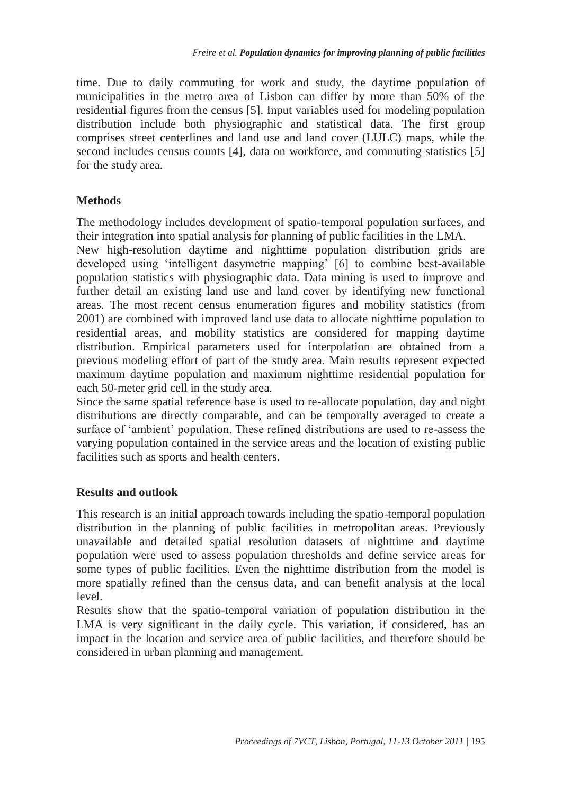time. Due to daily commuting for work and study, the daytime population of municipalities in the metro area of Lisbon can differ by more than 50% of the residential figures from the census [5]. Input variables used for modeling population distribution include both physiographic and statistical data. The first group comprises street centerlines and land use and land cover (LULC) maps, while the second includes census counts [4], data on workforce, and commuting statistics [5] for the study area.

### **Methods**

The methodology includes development of spatio-temporal population surfaces, and their integration into spatial analysis for planning of public facilities in the LMA. New high-resolution daytime and nighttime population distribution grids are developed using 'intelligent dasymetric mapping' [6] to combine best-available population statistics with physiographic data. Data mining is used to improve and further detail an existing land use and land cover by identifying new functional

areas. The most recent census enumeration figures and mobility statistics (from 2001) are combined with improved land use data to allocate nighttime population to residential areas, and mobility statistics are considered for mapping daytime distribution. Empirical parameters used for interpolation are obtained from a previous modeling effort of part of the study area. Main results represent expected maximum daytime population and maximum nighttime residential population for each 50-meter grid cell in the study area.

Since the same spatial reference base is used to re-allocate population, day and night distributions are directly comparable, and can be temporally averaged to create a surface of 'ambient' population. These refined distributions are used to re-assess the varying population contained in the service areas and the location of existing public facilities such as sports and health centers.

#### **Results and outlook**

This research is an initial approach towards including the spatio-temporal population distribution in the planning of public facilities in metropolitan areas. Previously unavailable and detailed spatial resolution datasets of nighttime and daytime population were used to assess population thresholds and define service areas for some types of public facilities. Even the nighttime distribution from the model is more spatially refined than the census data, and can benefit analysis at the local level.

Results show that the spatio-temporal variation of population distribution in the LMA is very significant in the daily cycle. This variation, if considered, has an impact in the location and service area of public facilities, and therefore should be considered in urban planning and management.